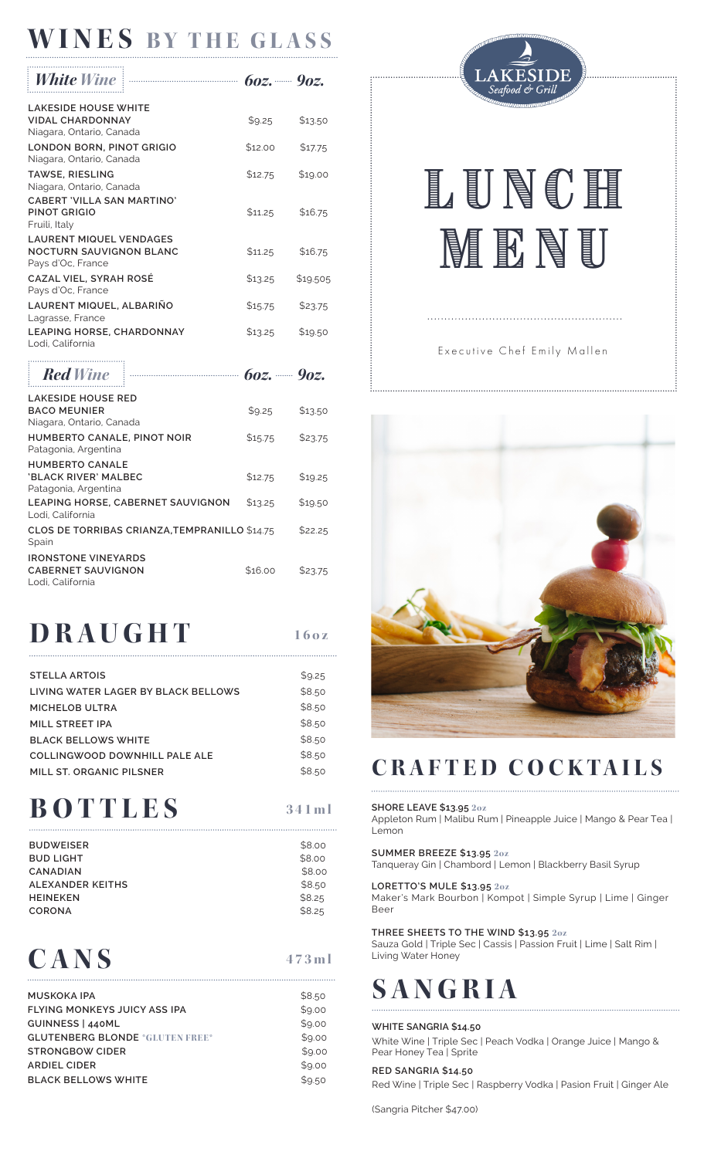### **WINES BY THE GLASS**

|                                                                                       | $60z$ , 202. |          |
|---------------------------------------------------------------------------------------|--------------|----------|
| <b>LAKESIDE HOUSE WHITE</b><br><b>VIDAL CHARDONNAY</b><br>Niagara, Ontario, Canada    | \$9.25       | \$13.50  |
| LONDON BORN, PINOT GRIGIO<br>Niagara, Ontario, Canada                                 | \$12.00      | \$17.75  |
| <b>TAWSE, RIESLING</b><br>Niagara, Ontario, Canada                                    | \$12.75      | \$19.00  |
| CABERT 'VILLA SAN MARTINO'<br><b>PINOT GRIGIO</b><br>Fruili, Italy                    | \$11.25      | \$16.75  |
| <b>LAURENT MIQUEL VENDAGES</b><br><b>NOCTURN SAUVIGNON BLANC</b><br>Pays d'Oc, France | \$11.25      | \$16.75  |
| CAZAL VIEL, SYRAH ROSE<br>Pays d'Oc, France                                           | \$13.25      | \$19.505 |
| LAURENT MIQUEL, ALBARIÑO<br>Lagrasse, France                                          | \$15.75      | \$23.75  |
| <b>LEAPING HORSE, CHARDONNAY</b><br>Lodi, California                                  | \$13.25      | \$19.50  |

| <b>Red Wine</b>                                                              | $60z$ , $90z$                                 |         |         |
|------------------------------------------------------------------------------|-----------------------------------------------|---------|---------|
| <b>LAKESIDE HOUSE RED</b><br><b>BACO MEUNIER</b><br>Niagara, Ontario, Canada |                                               | \$9.25  | \$13.50 |
| HUMBERTO CANALE, PINOT NOIR<br>Patagonia, Argentina                          |                                               | \$15.75 | \$23.75 |
| <b>HUMBERTO CANALE</b><br>'BLACK RIVER' MALBEC<br>Patagonia, Argentina       |                                               | \$12.75 | \$19.25 |
| Lodi. California                                                             | LEAPING HORSE, CABERNET SAUVIGNON             | \$13.25 | \$19.50 |
| Spain                                                                        | CLOS DE TORRIBAS CRIANZA, TEMPRANILLO \$14.75 |         | \$22.25 |
| <b>IRONSTONE VINEYARDS</b><br><b>CABERNET SAUVIGNON</b><br>Lodi, California  |                                               | \$16.00 | \$23.75 |

### **DRAUGHT 160z**

| <b>STELLA ARTOIS</b>                | \$9.25 |
|-------------------------------------|--------|
| LIVING WATER LAGER BY BLACK BELLOWS | \$8.50 |
| MICHELOB ULTRA                      | \$8.50 |
| MILL STREET IPA                     | \$8.50 |
| <b>BLACK BELLOWS WHITE</b>          | \$8.50 |
| COLLINGWOOD DOWNHILL PALE ALE       | \$8.50 |
| MILL ST. ORGANIC PILSNER            | \$8.50 |

# **BOTTLES**

| ۰.<br>× | . . | _____ |  |
|---------|-----|-------|--|
|         |     |       |  |

| <b>BUDWEISER</b> | \$8.00 |
|------------------|--------|
| <b>BUD LIGHT</b> | \$8.00 |
| <b>CANADIAN</b>  | \$8.00 |
| ALEXANDER KEITHS | \$8.50 |
| <b>HEINEKEN</b>  | \$8.25 |
| <b>CORONA</b>    | \$8.25 |
|                  |        |

### **473ml CANS**

| <b>MUSKOKA IPA</b>                     | \$8.50 |
|----------------------------------------|--------|
| FLYING MONKEYS JUICY ASS IPA           | \$9.00 |
| GUINNESS   440ML                       | \$9.00 |
| <b>GLUTENBERG BLONDE *GLUTEN FREE*</b> | \$9.00 |
| <b>STRONGBOW CIDER</b>                 | \$9.00 |
| <b>ARDIEL CIDER</b>                    | \$9.00 |
| <b>BLACK BELLOWS WHITE</b>             | \$9.50 |
|                                        |        |



# LUNCH **MENU**

### Executive Chef Emily Mallen



### **CRAFTED COCKTAILS**

#### **SHORE LEAVE \$13.95 2oz**

Appleton Rum | Malibu Rum | Pineapple Juice | Mango & Pear Tea | Lemon

#### **SUMMER BREEZE \$13.95 2oz**

Tanqueray Gin | Chambord | Lemon | Blackberry Basil Syrup

#### **LORETTO'S MULE \$13.95 2oz**

Maker's Mark Bourbon | Kompot | Simple Syrup | Lime | Ginger Beer

#### **THREE SHEETS TO THE WIND \$13.95 2oz**

Sauza Gold | Triple Sec | Cassis | Passion Fruit | Lime | Salt Rim | Living Water Honey

# **SANGRIA**

#### **WHITE SANGRIA \$14.50**

White Wine | Triple Sec | Peach Vodka | Orange Juice | Mango & Pear Honey Tea | Sprite

#### **RED SANGRIA \$14.50**

Red Wine | Triple Sec | Raspberry Vodka | Pasion Fruit | Ginger Ale

(Sangria Pitcher \$47.00)